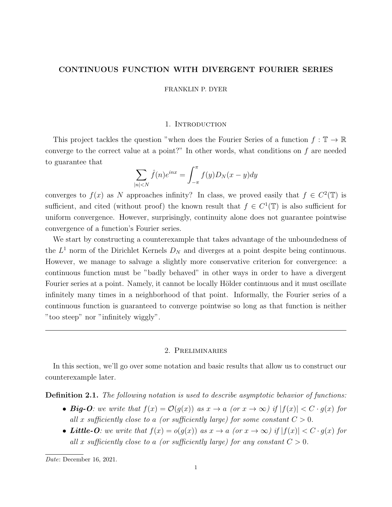## CONTINUOUS FUNCTION WITH DIVERGENT FOURIER SERIES

FRANKLIN P. DYER

## 1. INTRODUCTION

This project tackles the question "when does the Fourier Series of a function  $f : \mathbb{T} \to \mathbb{R}$ converge to the correct value at a point?" In other words, what conditions on f are needed to guarantee that

$$
\sum_{|n| < N} \hat{f}(n)e^{inx} = \int_{-\pi}^{\pi} f(y)D_N(x-y)dy
$$

converges to  $f(x)$  as N approaches infinity? In class, we proved easily that  $f \in C^2(\mathbb{T})$  is sufficient, and cited (without proof) the known result that  $f \in C^1(\mathbb{T})$  is also sufficient for uniform convergence. However, surprisingly, continuity alone does not guarantee pointwise convergence of a function's Fourier series.

We start by constructing a counterexample that takes advantage of the unboundedness of the  $L^1$  norm of the Dirichlet Kernels  $D_N$  and diverges at a point despite being continuous. However, we manage to salvage a slightly more conservative criterion for convergence: a continuous function must be "badly behaved" in other ways in order to have a divergent Fourier series at a point. Namely, it cannot be locally Hölder continuous and it must oscillate infinitely many times in a neighborhood of that point. Informally, the Fourier series of a continuous function is guaranteed to converge pointwise so long as that function is neither "too steep" nor "infinitely wiggly".

## 2. Preliminaries

In this section, we'll go over some notation and basic results that allow us to construct our counterexample later.

**Definition 2.1.** The following notation is used to describe asymptotic behavior of functions:

- Big-O: we write that  $f(x) = \mathcal{O}(g(x))$  as  $x \to a$  (or  $x \to \infty$ ) if  $|f(x)| < C \cdot g(x)$  for all x sufficiently close to a (or sufficiently large) for some constant  $C > 0$ .
- Little-O: we write that  $f(x) = o(g(x))$  as  $x \to a$  (or  $x \to \infty$ ) if  $|f(x)| < C \cdot g(x)$  for all x sufficiently close to a (or sufficiently large) for any constant  $C > 0$ .

Date: December 16, 2021.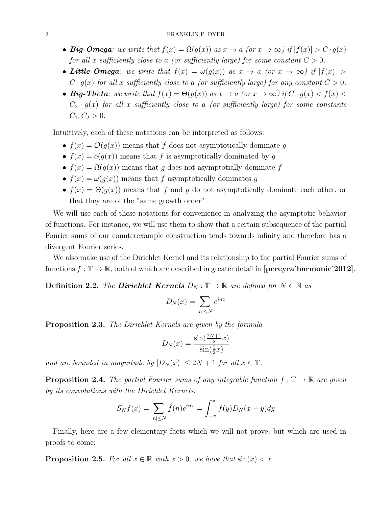### 2 FRANKLIN P. DYER

- Big-Omega: we write that  $f(x) = \Omega(g(x))$  as  $x \to a$  (or  $x \to \infty$ ) if  $|f(x)| > C \cdot g(x)$ for all x sufficiently close to a (or sufficiently large) for some constant  $C > 0$ .
- Little-Omega: we write that  $f(x) = \omega(g(x))$  as  $x \to a$  (or  $x \to \infty$ ) if  $|f(x)| > a$  $C \cdot g(x)$  for all x sufficiently close to a (or sufficiently large) for any constant  $C > 0$ .
- Big-Theta: we write that  $f(x) = \Theta(g(x))$  as  $x \to a$  (or  $x \to \infty$ ) if  $C_1 \cdot g(x) < f(x)$  $C_2 \cdot g(x)$  for all x sufficiently close to a (or sufficiently large) for some constants  $C_1, C_2 > 0.$

Intuitively, each of these notations can be interpreted as follows:

- $f(x) = \mathcal{O}(g(x))$  means that f does not asymptotically dominate g
- $f(x) = o(g(x))$  means that f is asymptotically dominated by g
- $f(x) = \Omega(g(x))$  means that g does not asymptotially dominate f
- $f(x) = \omega(g(x))$  means that f asymptotically dominates g
- $f(x) = \Theta(g(x))$  means that f and g do not asymptotically dominate each other, or that they are of the "same growth order"

We will use each of these notations for convenience in analyzing the asymptotic behavior of functions. For instance, we will use them to show that a certain subsequence of the partial Fourier sums of our counterexample construction tends towards infinity and therefore has a divergent Fourier series.

We also make use of the Dirichlet Kernel and its relationship to the partial Fourier sums of functions  $f : \mathbb{T} \to \mathbb{R}$ , both of which are described in greater detail in [**pereyra·harmonic** $2012$ ].

**Definition 2.2.** The **Dirichlet Kernels**  $D_N : \mathbb{T} \to \mathbb{R}$  are defined for  $N \in \mathbb{N}$  as

$$
D_N(x) = \sum_{|n| \le N} e^{inx}
$$

**Proposition 2.3.** The Dirichlet Kernels are given by the formula

$$
D_N(x) = \frac{\sin(\frac{2N+1}{2}x)}{\sin(\frac{1}{2}x)}
$$

and are bounded in magnitude by  $|D_N(x)| \leq 2N + 1$  for all  $x \in \mathbb{T}$ .

**Proposition 2.4.** The partial Fourier sums of any integrable function  $f : \mathbb{T} \to \mathbb{R}$  are given by its convolutions with the Dirichlet Kernels:

$$
S_N f(x) = \sum_{|n| \le N} \hat{f}(n) e^{inx} = \int_{-\pi}^{\pi} f(y) D_N(x - y) dy
$$

Finally, here are a few elementary facts which we will not prove, but which are used in proofs to come:

**Proposition 2.5.** For all  $x \in \mathbb{R}$  with  $x > 0$ , we have that  $\sin(x) < x$ .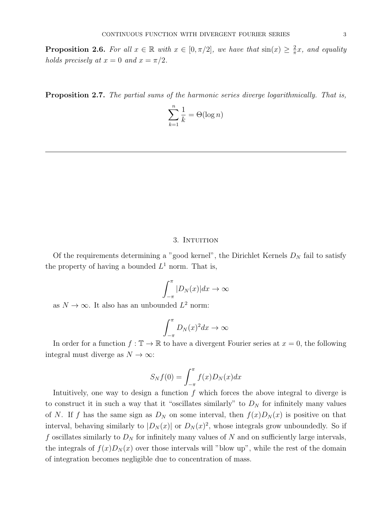**Proposition 2.6.** For all  $x \in \mathbb{R}$  with  $x \in [0, \pi/2]$ , we have that  $\sin(x) \geq \frac{2}{\pi}$  $\frac{2}{\pi}x$ , and equality holds precisely at  $x = 0$  and  $x = \pi/2$ .

Proposition 2.7. The partial sums of the harmonic series diverge logarithmically. That is,

$$
\sum_{k=1}^{n} \frac{1}{k} = \Theta(\log n)
$$

### 3. INTUITION

Of the requirements determining a "good kernel", the Dirichlet Kernels  $D<sub>N</sub>$  fail to satisfy the property of having a bounded  $L^1$  norm. That is,

$$
\int_{-\pi}^{\pi} |D_N(x)| dx \to \infty
$$

as  $N \to \infty$ . It also has an unbounded  $L^2$  norm:

$$
\int_{-\pi}^{\pi} D_N(x)^2 dx \to \infty
$$

In order for a function  $f : \mathbb{T} \to \mathbb{R}$  to have a divergent Fourier series at  $x = 0$ , the following integral must diverge as  $N \to \infty$ :

$$
S_N f(0) = \int_{-\pi}^{\pi} f(x) D_N(x) dx
$$

Intuitively, one way to design a function  $f$  which forces the above integral to diverge is to construct it in such a way that it "oscillates similarly" to  $D<sub>N</sub>$  for infinitely many values of N. If f has the same sign as  $D_N$  on some interval, then  $f(x)D_N(x)$  is positive on that interval, behaving similarly to  $|D_N(x)|$  or  $D_N(x)^2$ , whose integrals grow unboundedly. So if f oscillates similarly to  $D<sub>N</sub>$  for infinitely many values of N and on sufficiently large intervals, the integrals of  $f(x)D<sub>N</sub>(x)$  over those intervals will "blow up", while the rest of the domain of integration becomes negligible due to concentration of mass.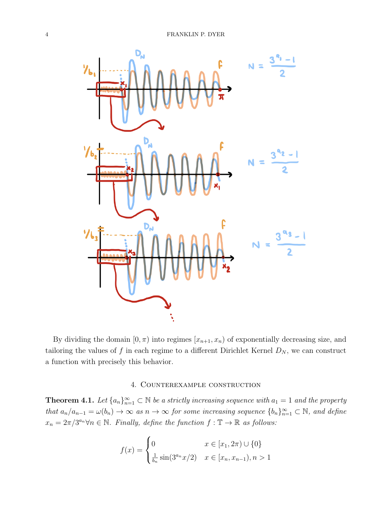

By dividing the domain  $[0, \pi)$  into regimes  $[x_{n+1}, x_n)$  of exponentially decreasing size, and tailoring the values of f in each regime to a different Dirichlet Kernel  $D_N$ , we can construct a function with precisely this behavior.

## 4. Counterexample construction

**Theorem 4.1.** Let  $\{a_n\}_{n=1}^{\infty} \subset \mathbb{N}$  be a strictly increasing sequence with  $a_1 = 1$  and the property that  $a_n/a_{n-1} = \omega(b_n) \to \infty$  as  $n \to \infty$  for some increasing sequence  $\{b_n\}_{n=1}^{\infty} \subset \mathbb{N}$ , and define  $x_n = 2\pi/3^{a_n} \forall n \in \mathbb{N}$ . Finally, define the function  $f : \mathbb{T} \to \mathbb{R}$  as follows:

$$
f(x) = \begin{cases} 0 & x \in [x_1, 2\pi) \cup \{0\} \\ \frac{1}{b_n} \sin(3^{a_n} x/2) & x \in [x_n, x_{n-1}), n > 1 \end{cases}
$$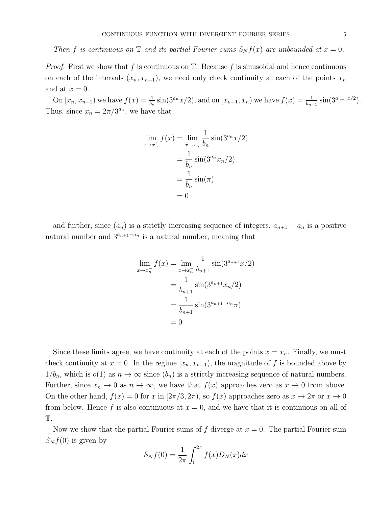# Then f is continuous on  $\mathbb T$  and its partial Fourier sums  $S_N f(x)$  are unbounded at  $x = 0$ .

*Proof.* First we show that f is continuous on  $\mathbb{T}$ . Because f is sinusoidal and hence continuous on each of the intervals  $(x_n, x_{n-1})$ , we need only check continuity at each of the points  $x_n$ and at  $x = 0$ .

On  $[x_n, x_{n-1})$  we have  $f(x) = \frac{1}{b_n} \sin(3^{a_n} x/2)$ , and on  $[x_{n+1}, x_n)$  we have  $f(x) = \frac{1}{b_{n+1}} \sin(3^{a_{n+1}x/2})$ . Thus, since  $x_n = 2\pi/3^{a_n}$ , we have that

$$
\lim_{x \to x_n^+} f(x) = \lim_{x \to x_n^+} \frac{1}{b_n} \sin(3^{a_n} x/2)
$$

$$
= \frac{1}{b_n} \sin(3^{a_n} x_n/2)
$$

$$
= \frac{1}{b_n} \sin(\pi)
$$

$$
= 0
$$

and further, since  $(a_n)$  is a strictly increasing sequence of integers,  $a_{n+1} - a_n$  is a positive natural number and  $3^{a_{n+1}-a_n}$  is a natural number, meaning that

$$
\lim_{x \to x_n^{-}} f(x) = \lim_{x \to x_n^{-}} \frac{1}{b_{n+1}} \sin(3^{a_{n+1}}x/2)
$$

$$
= \frac{1}{b_{n+1}} \sin(3^{a_{n+1}}x_n/2)
$$

$$
= \frac{1}{b_{n+1}} \sin(3^{a_{n+1}-a_n}\pi)
$$

$$
= 0
$$

Since these limits agree, we have continuity at each of the points  $x = x_n$ . Finally, we must check continuity at  $x = 0$ . In the regime  $[x_n, x_{n-1})$ , the magnitude of f is bounded above by  $1/b_n$ , which is  $o(1)$  as  $n \to \infty$  since  $(b_n)$  is a strictly increasing sequence of natural numbers. Further, since  $x_n \to 0$  as  $n \to \infty$ , we have that  $f(x)$  approaches zero as  $x \to 0$  from above. On the other hand,  $f(x) = 0$  for x in  $[2\pi/3, 2\pi)$ , so  $f(x)$  approaches zero as  $x \to 2\pi$  or  $x \to 0$ from below. Hence f is also continuous at  $x = 0$ , and we have that it is continuous on all of T.

Now we show that the partial Fourier sums of f diverge at  $x = 0$ . The partial Fourier sum  $S_N f(0)$  is given by

$$
S_N f(0) = \frac{1}{2\pi} \int_0^{2\pi} f(x) D_N(x) dx
$$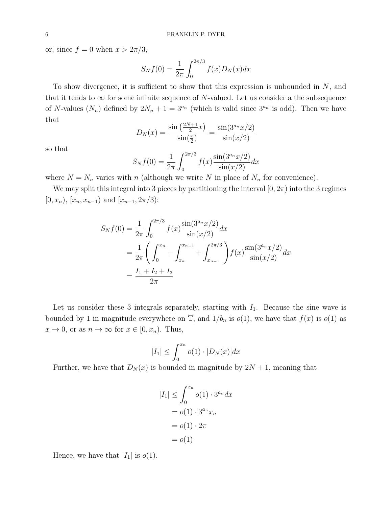or, since  $f = 0$  when  $x > 2\pi/3$ ,

$$
S_N f(0) = \frac{1}{2\pi} \int_0^{2\pi/3} f(x) D_N(x) dx
$$

To show divergence, it is sufficient to show that this expression is unbounded in  $N$ , and that it tends to  $\infty$  for some infinite sequence of N-valued. Let us consider a the subsequence of N-values  $(N_n)$  defined by  $2N_n + 1 = 3^{a_n}$  (which is valid since  $3^{a_n}$  is odd). Then we have that

$$
D_N(x) = \frac{\sin\left(\frac{2N+1}{2}x\right)}{\sin\left(\frac{x}{2}\right)} = \frac{\sin(3^{a_n}x/2)}{\sin(x/2)}
$$

so that

$$
S_N f(0) = \frac{1}{2\pi} \int_0^{2\pi/3} f(x) \frac{\sin(3^{a_n} x/2)}{\sin(x/2)} dx
$$

where  $N = N_n$  varies with n (although we write N in place of  $N_n$  for convenience).

We may split this integral into 3 pieces by partitioning the interval  $[0, 2\pi)$  into the 3 regimes  $[0, x_n)$ ,  $[x_n, x_{n-1})$  and  $[x_{n-1}, 2\pi/3)$ :

$$
S_N f(0) = \frac{1}{2\pi} \int_0^{2\pi/3} f(x) \frac{\sin(3^{a_n} x/2)}{\sin(x/2)} dx
$$
  
=  $\frac{1}{2\pi} \left( \int_0^{x_n} + \int_{x_n}^{x_{n-1}} + \int_{x_{n-1}}^{2\pi/3} \right) f(x) \frac{\sin(3^{a_n} x/2)}{\sin(x/2)} dx$   
=  $\frac{I_1 + I_2 + I_3}{2\pi}$ 

Let us consider these 3 integrals separately, starting with  $I_1$ . Because the sine wave is bounded by 1 in magnitude everywhere on  $\mathbb{T}$ , and  $1/b_n$  is  $o(1)$ , we have that  $f(x)$  is  $o(1)$  as  $x \to 0$ , or as  $n \to \infty$  for  $x \in [0, x_n)$ . Thus,

$$
|I_1| \le \int_0^{x_n} o(1) \cdot |D_N(x)| dx
$$

Further, we have that  $D_N(x)$  is bounded in magnitude by  $2N + 1$ , meaning that

$$
|I_1| \leq \int_0^{x_n} o(1) \cdot 3^{a_n} dx
$$

$$
= o(1) \cdot 3^{a_n} x_n
$$

$$
= o(1) \cdot 2\pi
$$

$$
= o(1)
$$

Hence, we have that  $|I_1|$  is  $o(1)$ .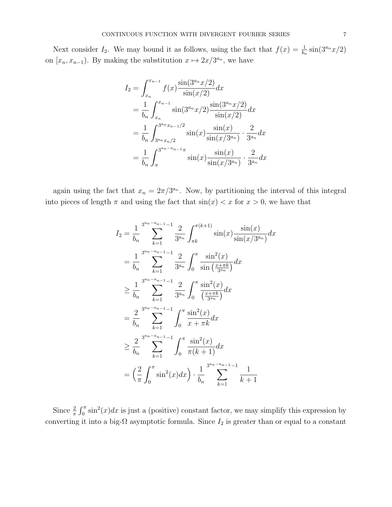Next consider  $I_2$ . We may bound it as follows, using the fact that  $f(x) = \frac{1}{b_n} \sin(3^{a_n} x/2)$ on  $[x_n, x_{n-1})$ . By making the substitution  $x \mapsto 2x/3^{a_n}$ , we have

$$
I_2 = \int_{x_n}^{x_{n-1}} f(x) \frac{\sin(3^{a_n}x/2)}{\sin(x/2)} dx
$$
  
\n
$$
= \frac{1}{b_n} \int_{x_n}^{x_{n-1}} \sin(3^{a_n}x/2) \frac{\sin(3^{a_n}x/2)}{\sin(x/2)} dx
$$
  
\n
$$
= \frac{1}{b_n} \int_{3^{a_n}x_n/2}^{3^{a_n}x_{n-1}/2} \sin(x) \frac{\sin(x)}{\sin(x/3^{a_n})} \cdot \frac{2}{3^{a_n}} dx
$$
  
\n
$$
= \frac{1}{b_n} \int_{\pi}^{3^{a_n}x_{n-1}} \sin(x) \frac{\sin(x)}{\sin(x/3^{a_n})} \cdot \frac{2}{3^{a_n}} dx
$$

again using the fact that  $x_n = 2\pi/3^{a_n}$ . Now, by partitioning the interval of this integral into pieces of length  $\pi$  and using the fact that  $\sin(x) < x$  for  $x > 0$ , we have that

$$
I_2 = \frac{1}{b_n} \sum_{k=1}^{3^{a_n - a_{n-1}} - 1} \frac{2}{3^{a_n}} \int_{\pi k}^{\pi(k+1)} \sin(x) \frac{\sin(x)}{\sin(x/3^{a_n})} dx
$$
  
\n
$$
= \frac{1}{b_n} \sum_{k=1}^{3^{a_n - a_{n-1}} - 1} \frac{2}{3^{a_n}} \int_0^{\pi} \frac{\sin^2(x)}{\sin(\frac{x + \pi k}{3^{a_n}})} dx
$$
  
\n
$$
\geq \frac{1}{b_n} \sum_{k=1}^{3^{a_n - a_{n-1}} - 1} \frac{2}{3^{a_n}} \int_0^{\pi} \frac{\sin^2(x)}{(\frac{x + \pi k}{3^{a_n}})} dx
$$
  
\n
$$
= \frac{2}{b_n} \sum_{k=1}^{3^{a_n - a_{n-1}} - 1} \int_0^{\pi} \frac{\sin^2(x)}{x + \pi k} dx
$$
  
\n
$$
\geq \frac{2}{b_n} \sum_{k=1}^{3^{a_n - a_{n-1}} - 1} \int_0^{\pi} \frac{\sin^2(x)}{\pi(k+1)} dx
$$
  
\n
$$
= \left(\frac{2}{\pi} \int_0^{\pi} \sin^2(x) dx\right) \cdot \frac{1}{b_n} \sum_{k=1}^{3^{a_n - a_{n-1}} - 1} \frac{1}{k+1}
$$

Since  $\frac{2}{\pi} \int_0^{\pi} \sin^2(x) dx$  is just a (positive) constant factor, we may simplify this expression by converting it into a big- $\Omega$  asymptotic formula. Since  $I_2$  is greater than or equal to a constant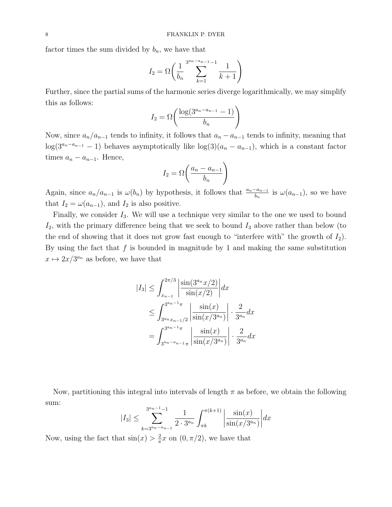factor times the sum divided by  $b_n$ , we have that

$$
I_2 = \Omega \left( \frac{1}{b_n} \sum_{k=1}^{3^{a_n - a_{n-1}} - 1} \frac{1}{k+1} \right)
$$

Further, since the partial sums of the harmonic series diverge logarithmically, we may simplify this as follows:

$$
I_2 = \Omega\left(\frac{\log(3^{a_n - a_{n-1}} - 1)}{b_n}\right)
$$

Now, since  $a_n/a_{n-1}$  tends to infinity, it follows that  $a_n - a_{n-1}$  tends to infinity, meaning that  $\log(3^{a_n-a_{n-1}}-1)$  behaves asymptotically like  $\log(3)(a_n-a_{n-1})$ , which is a constant factor times  $a_n - a_{n-1}$ . Hence,

$$
I_2 = \Omega\left(\frac{a_n - a_{n-1}}{b_n}\right)
$$

Again, since  $a_n/a_{n-1}$  is  $\omega(b_n)$  by hypothesis, it follows that  $\frac{a_n-a_{n-1}}{b_n}$  is  $\omega(a_{n-1})$ , so we have that  $I_2 = \omega(a_{n-1})$ , and  $I_2$  is also positive.

Finally, we consider  $I_3$ . We will use a technique very similar to the one we used to bound  $I_2$ , with the primary difference being that we seek to bound  $I_3$  above rather than below (to the end of showing that it does not grow fast enough to "interfere with" the growth of  $I_2$ ). By using the fact that  $f$  is bounded in magnitude by 1 and making the same substitution  $x \mapsto 2x/3^{a_n}$  as before, we have that

$$
|I_3| \leq \int_{x_{n-1}}^{2\pi/3} \left| \frac{\sin(3^{a_n}x/2)}{\sin(x/2)} \right| dx
$$
  
\n
$$
\leq \int_{3^{a_n}x_{n-1/2}}^{3^{a_n-1}\pi} \left| \frac{\sin(x)}{\sin(x/3^{a_n})} \right| \cdot \frac{2}{3^{a_n}} dx
$$
  
\n
$$
= \int_{3^{a_n-a_{n-1}}\pi}^{3^{a_n-1}\pi} \left| \frac{\sin(x)}{\sin(x/3^{a_n})} \right| \cdot \frac{2}{3^{a_n}} dx
$$

Now, partitioning this integral into intervals of length  $\pi$  as before, we obtain the following sum:

$$
|I_3| \le \sum_{k=3^{a_n-a_{n-1}}}^{3^{a_n-1}-1} \frac{1}{2 \cdot 3^{a_n}} \int_{\pi k}^{\pi(k+1)} \left| \frac{\sin(x)}{\sin(x/3^{a_n})} \right| dx
$$

Now, using the fact that  $\sin(x) > \frac{2}{\pi}$  $\frac{2}{\pi}x$  on  $(0, \pi/2)$ , we have that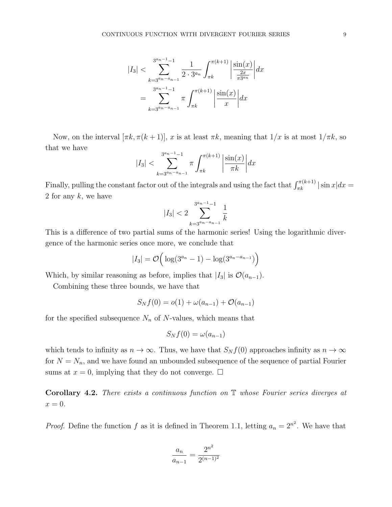$$
|I_3| < \sum_{k=3^{a_n-1}-1}^{3^{a_n-1}-1} \frac{1}{2 \cdot 3^{a_n}} \int_{\pi k}^{\pi(k+1)} \left| \frac{\sin(x)}{\frac{2x}{\pi 3^{a_n}}} \right| dx
$$
  
= 
$$
\sum_{k=3^{a_n-1}-1}^{3^{a_n-1}-1} \pi \int_{\pi k}^{\pi(k+1)} \left| \frac{\sin(x)}{x} \right| dx
$$

Now, on the interval  $[\pi k, \pi(k+1)], x$  is at least  $\pi k$ , meaning that  $1/x$  is at most  $1/\pi k$ , so that we have

$$
|I_3| < \sum_{k=3^{a_n-a_{n-1}}}^{3^{a_n-1}-1} \pi \int_{\pi k}^{\pi (k+1)} \left| \frac{\sin(x)}{\pi k} \right| dx
$$

Finally, pulling the constant factor out of the integrals and using the fact that  $\int_{\pi k}^{\pi(k+1)} |\sin x| dx =$ 2 for any  $k$ , we have

$$
|I_3| < 2 \sum_{k=3^{a_n-a_{n-1}}}^{3^{a_n-1}-1} \frac{1}{k}
$$

This is a difference of two partial sums of the harmonic series! Using the logarithmic divergence of the harmonic series once more, we conclude that

$$
|I_3| = \mathcal{O}\Big(\log(3^{a_n} - 1) - \log(3^{a_n - a_{n-1}})\Big)
$$

Which, by similar reasoning as before, implies that  $|I_3|$  is  $\mathcal{O}(a_{n-1})$ .

Combining these three bounds, we have that

$$
S_N f(0) = o(1) + \omega(a_{n-1}) + \mathcal{O}(a_{n-1})
$$

for the specified subsequence  $N_n$  of N-values, which means that

$$
S_N f(0) = \omega(a_{n-1})
$$

which tends to infinity as  $n \to \infty$ . Thus, we have that  $S_N f(0)$  approaches infinity as  $n \to \infty$ for  $N = N_n$ , and we have found an unbounded subsequence of the sequence of partial Fourier sums at  $x = 0$ , implying that they do not converge.  $\Box$ 

**Corollary 4.2.** There exists a continuous function on  $\mathbb T$  whose Fourier series diverges at  $x=0.$ 

*Proof.* Define the function f as it is defined in Theorem 1.1, letting  $a_n = 2^{n^2}$ . We have that

$$
\frac{a_n}{a_{n-1}} = \frac{2^{n^2}}{2^{(n-1)^2}}
$$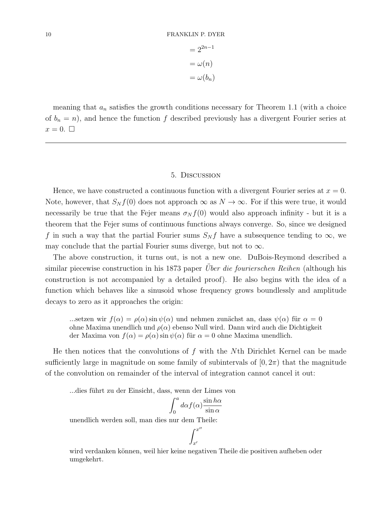$$
= 2^{2n-1}
$$

$$
= \omega(n)
$$

$$
= \omega(b_n)
$$

meaning that  $a_n$  satisfies the growth conditions necessary for Theorem 1.1 (with a choice of  $b_n = n$ , and hence the function f described previously has a divergent Fourier series at  $x=0.$ 

### 5. Discussion

Hence, we have constructed a continuous function with a divergent Fourier series at  $x = 0$ . Note, however, that  $S_N f(0)$  does not approach  $\infty$  as  $N \to \infty$ . For if this were true, it would necessarily be true that the Fejer means  $\sigma_N f(0)$  would also approach infinity - but it is a theorem that the Fejer sums of continuous functions always converge. So, since we designed f in such a way that the partial Fourier sums  $S_N f$  have a subsequence tending to  $\infty$ , we may conclude that the partial Fourier sums diverge, but not to  $\infty$ .

The above construction, it turns out, is not a new one. DuBois-Reymond described a similar piecewise construction in his 1873 paper *Über die fourierschen Reihen* (although his construction is not accompanied by a detailed proof). He also begins with the idea of a function which behaves like a sinusoid whose frequency grows boundlessly and amplitude decays to zero as it approaches the origin:

...setzen wir  $f(\alpha) = \rho(\alpha) \sin \psi(\alpha)$  und nehmen zunächst an, dass  $\psi(\alpha)$  für  $\alpha = 0$ ohne Maxima unendlich und  $\rho(\alpha)$  ebenso Null wird. Dann wird auch die Dichtigkeit der Maxima von  $f(\alpha) = \rho(\alpha) \sin \psi(\alpha)$  für  $\alpha = 0$  ohne Maxima unendlich.

He then notices that the convolutions of  $f$  with the Nth Dirichlet Kernel can be made sufficiently large in magnitude on some family of subintervals of  $(0, 2\pi)$  that the magnitude of the convolution on remainder of the interval of integration cannot cancel it out:

...dies führt zu der Einsicht, dass, wenn der Limes von

$$
\int_0^a d\alpha f(\alpha) \frac{\sin h\alpha}{\sin \alpha}
$$

unendlich werden soll, man dies nur dem Theile:

 $\int_0^x$  $x^{\prime}$ 

 $\prime$ 

wird verdanken können, weil hier keine negativen Theile die positiven aufheben oder umgekehrt.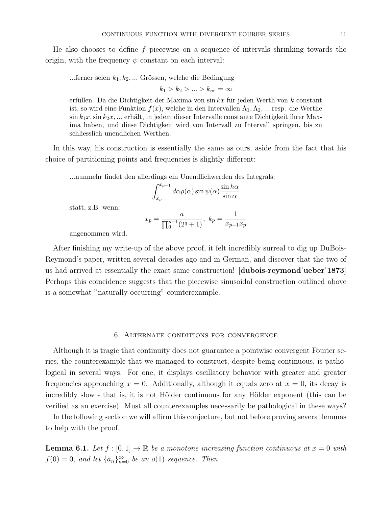He also chooses to define  $f$  piecewise on a sequence of intervals shrinking towards the origin, with the frequency  $\psi$  constant on each interval:

...ferner seien  $k_1, k_2, \ldots$  Grössen, welche die Bedingung

 $k_1 > k_2 > \ldots > k_\infty = \infty$ 

erfüllen. Da die Dichtigkeit der Maxima von sin kx für jeden Werth von k constant ist, so wird eine Funktion  $f(x)$ , welche in den Intervallen  $\Lambda_1, \Lambda_2, \ldots$  resp. die Werthe  $\sin k_1x, \sin k_2x, \dots$  erhält, in jedem dieser Intervalle constante Dichtigkeit ihrer Maxima haben, und diese Dichtigkeit wird von Intervall zu Intervall springen, bis zu schliesslich unendlichen Werthen.

In this way, his construction is essentially the same as ours, aside from the fact that his choice of partitioning points and frequencies is slightly different:

...nunmehr findet den allerdings ein Unendlichwerden des Integrals:

$$
\int_{x_p}^{x_{p-1}} d\alpha \rho(\alpha) \sin \psi(\alpha) \frac{\sin h\alpha}{\sin \alpha}
$$

statt, z.B. wenn:

$$
x_p = \frac{a}{\prod_0^{p-1}(2^q + 1)}, \ k_p = \frac{1}{x_{p-1}x_p}
$$

angenommen wird.

After finishing my write-up of the above proof, it felt incredibly surreal to dig up DuBois-Reymond's paper, written several decades ago and in German, and discover that the two of us had arrived at essentially the exact same construction! [dubois-reymond˙ueber˙1873] Perhaps this coincidence suggests that the piecewise sinusoidal construction outlined above is a somewhat "naturally occurring" counterexample.

## 6. Alternate conditions for convergence

Although it is tragic that continuity does not guarantee a pointwise convergent Fourier series, the counterexample that we managed to construct, despite being continuous, is pathological in several ways. For one, it displays oscillatory behavior with greater and greater frequencies approaching  $x = 0$ . Additionally, although it equals zero at  $x = 0$ , its decay is incredibly slow - that is, it is not Hölder continuous for any Hölder exponent (this can be verified as an exercise). Must all counterexamples necessarily be pathological in these ways?

In the following section we will affirm this conjecture, but not before proving several lemmas to help with the proof.

**Lemma 6.1.** Let  $f : [0,1] \to \mathbb{R}$  be a monotone increasing function continuous at  $x = 0$  with  $f(0) = 0$ , and let  $\{a_n\}_{n=0}^{\infty}$  be an  $o(1)$  sequence. Then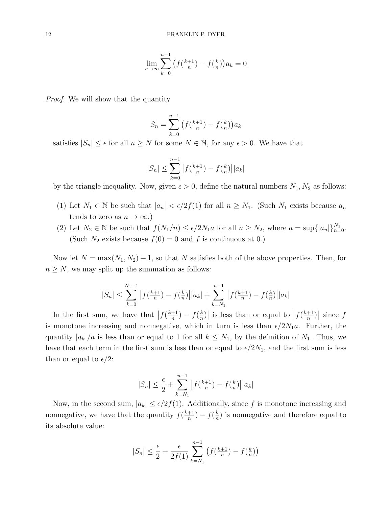$$
\lim_{n \to \infty} \sum_{k=0}^{n-1} (f(\frac{k+1}{n}) - f(\frac{k}{n})) a_k = 0
$$

Proof. We will show that the quantity

$$
S_n = \sum_{k=0}^{n-1} \left( f(\frac{k+1}{n}) - f(\frac{k}{n}) \right) a_k
$$

satisfies  $|S_n| \leq \epsilon$  for all  $n \geq N$  for some  $N \in \mathbb{N}$ , for any  $\epsilon > 0$ . We have that

$$
|S_n| \le \sum_{k=0}^{n-1} |f(\tfrac{k+1}{n}) - f(\tfrac{k}{n})||a_k|
$$

by the triangle inequality. Now, given  $\epsilon > 0$ , define the natural numbers  $N_1, N_2$  as follows:

- (1) Let  $N_1 \in \mathbb{N}$  be such that  $|a_n| < \epsilon/2f(1)$  for all  $n \ge N_1$ . (Such  $N_1$  exists because  $a_n$ tends to zero as  $n \to \infty$ .)
- (2) Let  $N_2 \in \mathbb{N}$  be such that  $f(N_1/n) \leq \epsilon/2N_1a$  for all  $n \geq N_2$ , where  $a = \sup\{|a_n|\}_{n=0}^{N_1}$ . (Such  $N_2$  exists because  $f(0) = 0$  and f is continuous at 0.)

Now let  $N = \max(N_1, N_2) + 1$ , so that N satisfies both of the above properties. Then, for  $n \geq N$ , we may split up the summation as follows:

$$
|S_n| \le \sum_{k=0}^{N_1-1} |f(\frac{k+1}{n}) - f(\frac{k}{n})||a_k| + \sum_{k=N_1}^{n-1} |f(\frac{k+1}{n}) - f(\frac{k}{n})||a_k|
$$

In the first sum, we have that  $\left|f(\frac{k+1}{n}\right)$  $\frac{+1}{n}$ ) –  $f(\frac{k}{n})$  $\left| \frac{k}{n} \right|$  is less than or equal to  $\left| f \left( \frac{k+1}{n} \right) \right|$  $\frac{+1}{n}\big)\big|$  since  $f$ is monotone increasing and nonnegative, which in turn is less than  $\epsilon/2N_1a$ . Further, the quantity  $|a_k|/a$  is less than or equal to 1 for all  $k \leq N_1$ , by the definition of  $N_1$ . Thus, we have that each term in the first sum is less than or equal to  $\epsilon/2N_1$ , and the first sum is less than or equal to  $\epsilon/2$ :

$$
|S_n| \le \frac{\epsilon}{2} + \sum_{k=N_1}^{n-1} |f(\frac{k+1}{n}) - f(\frac{k}{n})||a_k|
$$

Now, in the second sum,  $|a_k| \leq \epsilon/2f(1)$ . Additionally, since f is monotone increasing and nonnegative, we have that the quantity  $f(\frac{k+1}{n})$  $\frac{+1}{n}$ ) –  $f(\frac{k}{n})$  $\frac{k}{n}$ ) is nonnegative and therefore equal to its absolute value:

$$
|S_n| \le \frac{\epsilon}{2} + \frac{\epsilon}{2f(1)} \sum_{k=N_1}^{n-1} \left( f\left(\frac{k+1}{n}\right) - f\left(\frac{k}{n}\right) \right)
$$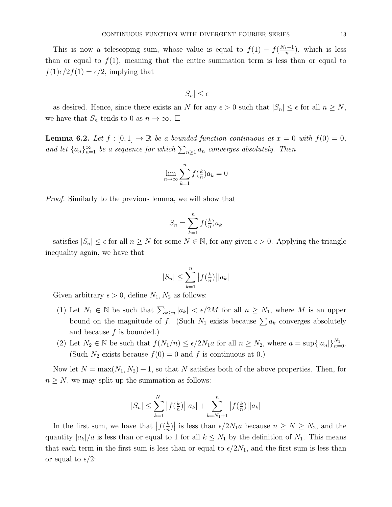This is now a telescoping sum, whose value is equal to  $f(1) - f(\frac{N_1+1}{n})$  $\frac{n+1}{n}$ , which is less than or equal to  $f(1)$ , meaning that the entire summation term is less than or equal to  $f(1)\epsilon/2f(1) = \epsilon/2$ , implying that

$$
|S_n| \leq \epsilon
$$

as desired. Hence, since there exists an N for any  $\epsilon > 0$  such that  $|S_n| \leq \epsilon$  for all  $n \geq N$ , we have that  $S_n$  tends to 0 as  $n \to \infty$ .  $\Box$ 

**Lemma 6.2.** Let  $f : [0,1] \to \mathbb{R}$  be a bounded function continuous at  $x = 0$  with  $f(0) = 0$ , and let  $\{a_n\}_{n=1}^{\infty}$  be a sequence for which  $\sum_{n\geq 1} a_n$  converges absolutely. Then

$$
\lim_{n \to \infty} \sum_{k=1}^{n} f(\frac{k}{n}) a_k = 0
$$

Proof. Similarly to the previous lemma, we will show that

$$
S_n = \sum_{k=1}^n f(\frac{k}{n}) a_k
$$

satisfies  $|S_n| \leq \epsilon$  for all  $n \geq N$  for some  $N \in \mathbb{N}$ , for any given  $\epsilon > 0$ . Applying the triangle inequality again, we have that

$$
|S_n| \le \sum_{k=1}^n |f(\tfrac{k}{n})||a_k|
$$

Given arbitrary  $\epsilon > 0$ , define  $N_1, N_2$  as follows:

- (1) Let  $N_1 \in \mathbb{N}$  be such that  $\sum_{k \geq n} |a_k| < \epsilon/2M$  for all  $n \geq N_1$ , where M is an upper bound on the magnitude of f. (Such  $N_1$  exists because  $\sum a_k$  converges absolutely and because  $f$  is bounded.)
- (2) Let  $N_2 \in \mathbb{N}$  be such that  $f(N_1/n) \leq \epsilon/2N_1a$  for all  $n \geq N_2$ , where  $a = \sup\{|a_n|\}_{n=0}^{N_1}$ . (Such  $N_2$  exists because  $f(0) = 0$  and f is continuous at 0.)

Now let  $N = \max(N_1, N_2) + 1$ , so that N satisfies both of the above properties. Then, for  $n \geq N$ , we may split up the summation as follows:

$$
|S_n| \le \sum_{k=1}^{N_1} |f(\frac{k}{n})||a_k| + \sum_{k=N_1+1}^n |f(\frac{k}{n})||a_k|
$$

In the first sum, we have that  $\left|f(\frac{k}{n}\right)$  $\left| \frac{k}{n} \right|$  is less than  $\epsilon/2N_1a$  because  $n \geq N \geq N_2$ , and the quantity  $|a_k|/a$  is less than or equal to 1 for all  $k \leq N_1$  by the definition of  $N_1$ . This means that each term in the first sum is less than or equal to  $\epsilon/2N_1$ , and the first sum is less than or equal to  $\epsilon/2$ :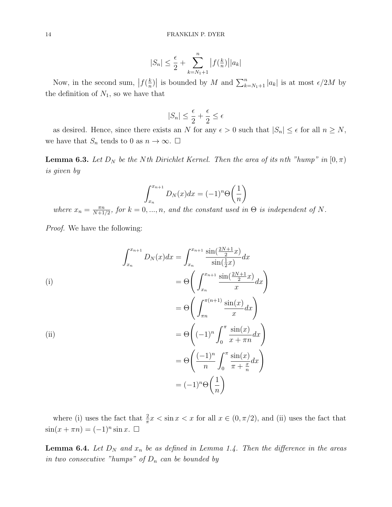$$
|S_n| \le \frac{\epsilon}{2} + \sum_{k=N_1+1}^n |f(\frac{k}{n})||a_k|
$$

Now, in the second sum,  $\left|f\left(\frac{k}{n}\right)\right|$  $\left| \frac{k}{n} \right|$  is bounded by M and  $\sum_{k=N_1+1}^{n} |a_k|$  is at most  $\epsilon/2M$  by the definition of  $N_1$ , so we have that

$$
|S_n| \le \frac{\epsilon}{2} + \frac{\epsilon}{2} \le \epsilon
$$

as desired. Hence, since there exists an N for any  $\epsilon > 0$  such that  $|S_n| \leq \epsilon$  for all  $n \geq N$ , we have that  $S_n$  tends to 0 as  $n \to \infty$ .  $\Box$ 

**Lemma 6.3.** Let  $D_N$  be the Nth Dirichlet Kernel. Then the area of its nth "hump" in  $[0, \pi)$ is given by

$$
\int_{x_n}^{x_{n+1}} D_N(x) dx = (-1)^n \Theta\left(\frac{1}{n}\right)
$$

where  $x_n = \frac{\pi n}{N+1}$  $\frac{\pi n}{N+1/2}$ , for  $k = 0, ..., n$ , and the constant used in  $\Theta$  is independent of N.

Proof. We have the following:

$$
\int_{x_n}^{x_{n+1}} D_N(x) dx = \int_{x_n}^{x_{n+1}} \frac{\sin(\frac{2N+1}{2}x)}{\sin(\frac{1}{2}x)} dx
$$
\n(i)\n
$$
= \Theta \left( \int_{x_n}^{x_{n+1}} \frac{\sin(\frac{2N+1}{2}x)}{x} dx \right)
$$
\n
$$
= \Theta \left( \int_{\pi n}^{\pi (n+1)} \frac{\sin(x)}{x} dx \right)
$$
\n(ii)\n
$$
= \Theta \left( (-1)^n \int_0^{\pi} \frac{\sin(x)}{x + \pi n} dx \right)
$$
\n
$$
= \Theta \left( \frac{(-1)^n}{n} \int_0^{\pi} \frac{\sin(x)}{\pi + \frac{x}{n}} dx \right)
$$
\n
$$
= (-1)^n \Theta \left( \frac{1}{n} \right)
$$

where (i) uses the fact that  $\frac{2}{\pi}x < \sin x < x$  for all  $x \in (0, \pi/2)$ , and (ii) uses the fact that  $\sin(x + \pi n) = (-1)^n \sin x. \quad \Box$ 

**Lemma 6.4.** Let  $D_N$  and  $x_n$  be as defined in Lemma 1.4. Then the difference in the areas in two consecutive "humps" of  $D_n$  can be bounded by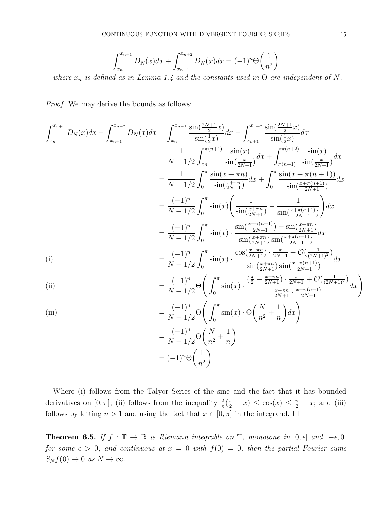$$
\int_{x_n}^{x_{n+1}} D_N(x) dx + \int_{x_{n+1}}^{x_{n+2}} D_N(x) dx = (-1)^n \Theta\left(\frac{1}{n^2}\right)
$$

where  $x_n$  is defined as in Lemma 1.4 and the constants used in  $\Theta$  are independent of N.

Proof. We may derive the bounds as follows:

$$
\int_{x_n}^{x_{n+1}} D_N(x) dx + \int_{x_{n+1}}^{x_{n+2}} D_N(x) dx = \int_{x_n}^{x_{n+1}} \frac{\sin(\frac{2N+1}{2}x)}{\sin(\frac{1}{2}x)} dx + \int_{x_{n+1}}^{x_{n+2}} \frac{\sin(\frac{2N+1}{2}x)}{\sin(\frac{1}{2}x)} dx
$$
  
\n
$$
= \frac{1}{N+1/2} \int_{\pi n}^{\pi (n+1)} \frac{\sin(x)}{\sin(\frac{x}{2N+1})} dx + \int_{\pi (n+1)}^{\pi (n+2)} \frac{\sin(x)}{\sin(\frac{x}{2N+1})} dx
$$
  
\n
$$
= \frac{1}{N+1/2} \int_{0}^{\pi} \frac{\sin(x+\pi n)}{\sin(\frac{x+\pi n}{2N+1})} dx + \int_{0}^{\pi} \frac{\sin(x+\pi (n+1))}{\sin(\frac{x+\pi (n+1))}{2N+1})} dx
$$
  
\n
$$
= \frac{(-1)^n}{N+1/2} \int_{0}^{\pi} \sin(x) \left( \frac{1}{\sin(\frac{x+\pi n}{2N+1})} - \frac{1}{\sin(\frac{x+\pi (n+1)}{2N+1})} \right) dx
$$
  
\n
$$
= \frac{(-1)^n}{N+1/2} \int_{0}^{\pi} \sin(x) \cdot \frac{\sin(\frac{x+\pi (n+1)}{2N+1}) - \sin(\frac{x+\pi n}{2N+1})}{\sin(\frac{x+\pi (n+1)}{2N+1})} dx
$$
  
\n(i)  
\n
$$
= \frac{(-1)^n}{N+1/2} \int_{0}^{\pi} \sin(x) \cdot \frac{\cos(\frac{x+\pi n}{2N+1}) \sin(\frac{x+\pi (n+1)}{2N+1})}{\sin(\frac{x+\pi n}{2N+1}) \sin(\frac{x+\pi (n+1)}{2N+1})} dx
$$
  
\n(ii)  
\n
$$
= \frac{(-1)^n}{N+1/2} \Theta\left(\int_{0}^{\pi} \sin(x) \cdot \frac{(\frac{\pi}{2} - \frac{x+\pi n}{2N+1}) \cdot \frac{\pi}{2N+1} + \mathcal{O}(\frac{1}{(2N+1)^2})}{\frac{x+\pi n}{2N+1}} dx\right)
$$

(iii)  
\n
$$
= \frac{(-1)^n}{N+1/2} \Theta \left( \int_0^\pi \sin(x) \cdot \Theta \left( \frac{N}{n^2} + \frac{1}{n} \right) dx \right)
$$
\n
$$
= \frac{(-1)^n}{N+1/2} \Theta \left( \frac{N}{n^2} + \frac{1}{n} \right)
$$
\n
$$
= (-1)^n \Theta \left( \frac{1}{n^2} \right)
$$

Where (i) follows from the Talyor Series of the sine and the fact that it has bounded derivatives on [0,  $\pi$ ]; (ii) follows from the inequality  $\frac{2}{\pi}(\frac{\pi}{2} - x) \leq \cos(x) \leq \frac{\pi}{2} - x$ ; and (iii) follows by letting  $n > 1$  and using the fact that  $x \in [0, \pi]$  in the integrand.  $\Box$ 

Theorem 6.5. If  $f : \mathbb{T} \to \mathbb{R}$  is Riemann integrable on  $\mathbb{T}$ , monotone in  $[0, \epsilon]$  and  $[-\epsilon, 0]$ for some  $\epsilon > 0$ , and continuous at  $x = 0$  with  $f(0) = 0$ , then the partial Fourier sums  $S_N f(0) \to 0$  as  $N \to \infty$ .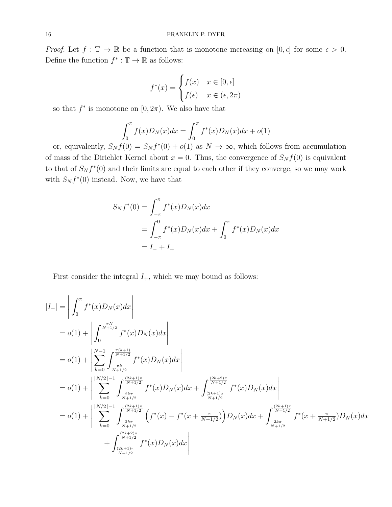*Proof.* Let  $f : \mathbb{T} \to \mathbb{R}$  be a function that is monotone increasing on  $[0, \epsilon]$  for some  $\epsilon > 0$ . Define the function  $f^* : \mathbb{T} \to \mathbb{R}$  as follows:

$$
f^*(x) = \begin{cases} f(x) & x \in [0, \epsilon] \\ f(\epsilon) & x \in (\epsilon, 2\pi) \end{cases}
$$

so that  $f^*$  is monotone on  $[0, 2\pi)$ . We also have that

$$
\int_0^{\pi} f(x)D_N(x)dx = \int_0^{\pi} f^*(x)D_N(x)dx + o(1)
$$

or, equivalently,  $S_N f(0) = S_N f^{*}(0) + o(1)$  as  $N \to \infty$ , which follows from accumulation of mass of the Dirichlet Kernel about  $x = 0$ . Thus, the convergence of  $S_N f(0)$  is equivalent to that of  $S_N f^*(0)$  and their limits are equal to each other if they converge, so we may work with  $S_N f^*(0)$  instead. Now, we have that

$$
S_N f^*(0) = \int_{-\pi}^{\pi} f^*(x) D_N(x) dx
$$
  
= 
$$
\int_{-\pi}^{0} f^*(x) D_N(x) dx + \int_{0}^{\pi} f^*(x) D_N(x) dx
$$
  
= 
$$
I_- + I_+
$$

First consider the integral  $I_+,$  which we may bound as follows:

$$
|I_{+}| = \left| \int_{0}^{\pi} f^{*}(x) D_{N}(x) dx \right|
$$
  
\n
$$
= o(1) + \left| \int_{0}^{\frac{\pi N}{N+1/2}} f^{*}(x) D_{N}(x) dx \right|
$$
  
\n
$$
= o(1) + \left| \sum_{k=0}^{\frac{\pi k}{N+1/2}} \int_{\frac{\pi k}{N+1/2}}^{\frac{\pi(k+1)}{N+1/2}} f^{*}(x) D_{N}(x) dx \right|
$$
  
\n
$$
= o(1) + \left| \sum_{k=0}^{\lfloor N/2 \rfloor - 1} \int_{\frac{2k\pi}{N+1/2}}^{\frac{(2k+1)\pi}{N+1/2}} f^{*}(x) D_{N}(x) dx + \int_{\frac{(2k+1)\pi}{N+1/2}}^{\frac{(2k+2)\pi}{N+1/2}} f^{*}(x) D_{N}(x) dx \right|
$$
  
\n
$$
= o(1) + \left| \sum_{k=0}^{\lfloor N/2 \rfloor - 1} \int_{\frac{2k\pi}{N+1/2}}^{\frac{(2k+1)\pi}{N+1/2}} \left( f^{*}(x) - f^{*}(x + \frac{\pi}{N+1/2}) \right) D_{N}(x) dx + \int_{\frac{2k\pi}{N+1/2}}^{\frac{(2k+1)\pi}{N+1/2}} f^{*}(x + \frac{\pi}{N+1/2}) D_{N}(x) dx \right|
$$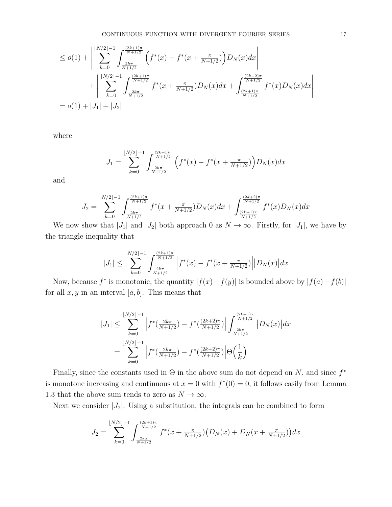$$
\leq o(1) + \left| \sum_{k=0}^{\lfloor N/2 \rfloor - 1} \int_{\frac{2k\pi}{N+1/2}}^{\frac{(2k+1)\pi}{N+1/2}} \left( f^*(x) - f^*(x + \frac{\pi}{N+1/2}) \right) D_N(x) dx \right|
$$
  
+ 
$$
\left| \sum_{k=0}^{\lfloor N/2 \rfloor - 1} \int_{\frac{2k\pi}{N+1/2}}^{\frac{(2k+1)\pi}{N+1/2}} f^*(x + \frac{\pi}{N+1/2}) D_N(x) dx + \int_{\frac{(2k+1)\pi}{N+1/2}}^{\frac{(2k+2)\pi}{N+1/2}} f^*(x) D_N(x) dx \right|
$$
  
=  $o(1) + |J_1| + |J_2|$ 

where

$$
J_1 = \sum_{k=0}^{\lfloor N/2 \rfloor - 1} \int_{\frac{2k\pi}{N+1/2}}^{\frac{(2k+1)\pi}{N+1/2}} \left( f^*(x) - f^*(x + \frac{\pi}{N+1/2}) \right) D_N(x) dx
$$

and

$$
J_2 = \sum_{k=0}^{\lfloor N/2 \rfloor -1} \int_{\frac{2k\pi}{N+1/2}}^{\frac{(2k+1)\pi}{N+1/2}} f^*(x+\tfrac{\pi}{N+1/2}) D_N(x) dx + \int_{\frac{(2k+1)\pi}{N+1/2}}^{\frac{(2k+2)\pi}{N+1/2}} f^*(x) D_N(x) dx
$$

We now show that  $|J_1|$  and  $|J_2|$  both approach 0 as  $N \to \infty$ . Firstly, for  $|J_1|$ , we have by the triangle inequality that

$$
|J_1| \le \sum_{k=0}^{\lfloor N/2 \rfloor -1} \int_{\frac{2k\pi}{N+1/2}}^{\frac{(2k+1)\pi}{N+1/2}} \left| f^*(x) - f^*(x + \frac{\pi}{N+1/2}) \right| |D_N(x)| dx
$$

Now, because  $f^*$  is monotonic, the quantity  $|f(x) - f(y)|$  is bounded above by  $|f(a) - f(b)|$ for all  $x, y$  in an interval [a, b]. This means that

$$
|J_{1}| \leq \sum_{k=0}^{\lfloor N/2 \rfloor -1} \left| f^{*}(\frac{2k\pi}{N+1/2}) - f^{*}(\frac{(2k+2)\pi}{N+1/2}) \right| \int_{\frac{2k\pi}{N+1/2}}^{\frac{(2k+1)\pi}{N+1/2}} |D_{N}(x)| dx
$$
  
= 
$$
\sum_{k=0}^{\lfloor N/2 \rfloor -1} \left| f^{*}(\frac{2k\pi}{N+1/2}) - f^{*}(\frac{(2k+2)\pi}{N+1/2}) \right| \Theta(\frac{1}{k})
$$

Finally, since the constants used in  $\Theta$  in the above sum do not depend on N, and since  $f^*$ is monotone increasing and continuous at  $x = 0$  with  $f^*(0) = 0$ , it follows easily from Lemma 1.3 that the above sum tends to zero as  $N\to\infty.$ 

Next we consider  $|J_2|$ . Using a substitution, the integrals can be combined to form

$$
J_2 = \sum_{k=0}^{\lfloor N/2 \rfloor -1} \int_{\frac{2k\pi}{N+1/2}}^{\frac{(2k+1)\pi}{N+1/2}} f^*(x + \frac{\pi}{N+1/2}) \Big(D_N(x) + D_N(x + \frac{\pi}{N+1/2})\Big) dx
$$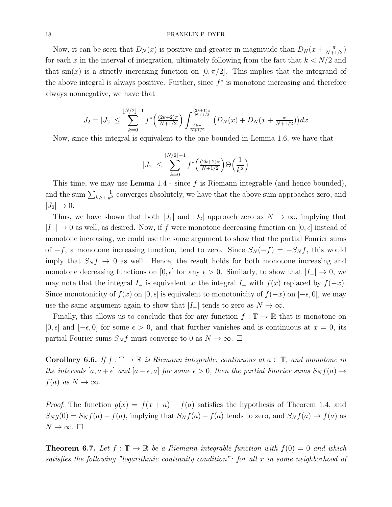### 18 FRANKLIN P. DYER

Now, it can be seen that  $D_N(x)$  is positive and greater in magnitude than  $D_N(x+\frac{\pi}{N+1})$  $\frac{\pi}{N+1/2}$ for each x in the interval of integration, ultimately following from the fact that  $k < N/2$  and that  $sin(x)$  is a strictly increasing function on [0,  $\pi/2$ ]. This implies that the integrand of the above integral is always positive. Further, since  $f^*$  is monotone increasing and therefore always nonnegative, we have that

$$
J_2 = |J_2| \le \sum_{k=0}^{\lfloor N/2 \rfloor - 1} f^* \left( \frac{(2k+2)\pi}{N+1/2} \right) \int_{\frac{2k\pi}{N+1/2}}^{\frac{(2k+1)\pi}{N+1/2}} \left( D_N(x) + D_N(x + \frac{\pi}{N+1/2}) \right) dx
$$

Now, since this integral is equivalent to the one bounded in Lemma 1.6, we have that

$$
|J_2| \le \sum_{k=0}^{\lfloor N/2 \rfloor -1} f^* \left( \frac{(2k+2)\pi}{N+1/2} \right) \Theta \left( \frac{1}{k^2} \right)
$$

This time, we may use Lemma  $1.4$  - since f is Riemann integrable (and hence bounded), and the sum  $\sum_{k\geq 1}$ 1  $\frac{1}{k^2}$  converges absolutely, we have that the above sum approaches zero, and  $|J_2| \rightarrow 0.$ 

Thus, we have shown that both  $|J_1|$  and  $|J_2|$  approach zero as  $N \to \infty$ , implying that  $|I_+| \to 0$  as well, as desired. Now, if f were monotone decreasing function on  $[0, \epsilon]$  instead of monotone increasing, we could use the same argument to show that the partial Fourier sums of  $-f$ , a monotone increasing function, tend to zero. Since  $S_N(-f) = -S_N f$ , this would imply that  $S_N f \to 0$  as well. Hence, the result holds for both monotone increasing and monotone decreasing functions on [0,  $\epsilon$ ] for any  $\epsilon > 0$ . Similarly, to show that  $|I_-| \to 0$ , we may note that the integral  $I_-\$  is equivalent to the integral  $I_+\$  with  $f(x)$  replaced by  $f(-x)$ . Since monotonicity of  $f(x)$  on  $[0, \epsilon]$  is equivalent to monotonicity of  $f(-x)$  on  $[-\epsilon, 0]$ , we may use the same argument again to show that  $|I_-\|$  tends to zero as  $N \to \infty$ .

Finally, this allows us to conclude that for any function  $f : \mathbb{T} \to \mathbb{R}$  that is monotone on  $[0, \epsilon]$  and  $[-\epsilon, 0]$  for some  $\epsilon > 0$ , and that further vanishes and is continuous at  $x = 0$ , its partial Fourier sums  $S_N f$  must converge to 0 as  $N \to \infty$ .  $\Box$ 

Corollary 6.6. If  $f : \mathbb{T} \to \mathbb{R}$  is Riemann integrable, continuous at  $a \in \mathbb{T}$ , and monotone in the intervals  $[a, a + \epsilon]$  and  $[a - \epsilon, a]$  for some  $\epsilon > 0$ , then the partial Fourier sums  $S_N f(a) \to$  $f(a)$  as  $N \to \infty$ .

*Proof.* The function  $g(x) = f(x+a) - f(a)$  satisfies the hypothesis of Theorem 1.4, and  $S_N g(0) = S_N f(a) - f(a)$ , implying that  $S_N f(a) - f(a)$  tends to zero, and  $S_N f(a) \to f(a)$  as  $N \to \infty$ .  $\square$ 

**Theorem 6.7.** Let  $f : \mathbb{T} \to \mathbb{R}$  be a Riemann integrable function with  $f(0) = 0$  and which satisfies the following "logarithmic continuity condition": for all x in some neighborhood of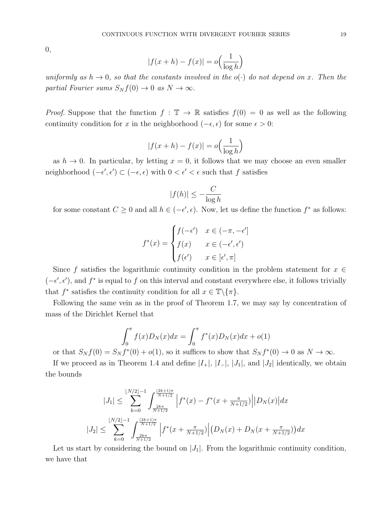0,

$$
|f(x+h) - f(x)| = o\left(\frac{1}{\log h}\right)
$$

uniformly as  $h \to 0$ , so that the constants involved in the  $o(\cdot)$  do not depend on x. Then the partial Fourier sums  $S_N f(0) \to 0$  as  $N \to \infty$ .

*Proof.* Suppose that the function  $f : \mathbb{T} \to \mathbb{R}$  satisfies  $f(0) = 0$  as well as the following continuity condition for x in the neighborhood ( $-\epsilon, \epsilon$ ) for some  $\epsilon > 0$ :

$$
|f(x+h) - f(x)| = o\left(\frac{1}{\log h}\right)
$$

as  $h \to 0$ . In particular, by letting  $x = 0$ , it follows that we may choose an even smaller neighborhood  $(-\epsilon', \epsilon') \subset (-\epsilon, \epsilon)$  with  $0 < \epsilon' < \epsilon$  such that f satisfies

$$
|f(h)| \le -\frac{C}{\log h}
$$

for some constant  $C \geq 0$  and all  $h \in (-\epsilon', \epsilon)$ . Now, let us define the function  $f^*$  as follows:

$$
f^*(x) = \begin{cases} f(-\epsilon') & x \in (-\pi, -\epsilon'] \\ f(x) & x \in (-\epsilon', \epsilon') \\ f(\epsilon') & x \in [\epsilon', \pi] \end{cases}
$$

Since f satisfies the logarithmic continuity condition in the problem statement for  $x \in$  $(-\epsilon', \epsilon')$ , and  $f^*$  is equal to f on this interval and constant everywhere else, it follows trivially that  $f^*$  satisfies the continuity condition for all  $x \in \mathbb{T} \backslash \{ \pi \}.$ 

Following the same vein as in the proof of Theorem 1.7, we may say by concentration of mass of the Dirichlet Kernel that

$$
\int_0^{\pi} f(x)D_N(x)dx = \int_0^{\pi} f^*(x)D_N(x)dx + o(1)
$$

or that  $S_N f(0) = S_N f^*(0) + o(1)$ , so it suffices to show that  $S_N f^*(0) \to 0$  as  $N \to \infty$ .

If we proceed as in Theorem 1.4 and define  $|I_+|, |I_-|, |J_1|$ , and  $|J_2|$  identically, we obtain the bounds

$$
|J_{1}| \leq \sum_{k=0}^{\lfloor N/2 \rfloor - 1} \int_{\frac{2k\pi}{N+1/2}}^{\frac{(2k+1)\pi}{N+1/2}} \left| f^{*}(x) - f^{*}(x + \frac{\pi}{N+1/2}) \right| |D_{N}(x)| dx
$$
  

$$
|J_{2}| \leq \sum_{k=0}^{\lfloor N/2 \rfloor - 1} \int_{\frac{2k\pi}{N+1/2}}^{\frac{(2k+1)\pi}{N+1/2}} \left| f^{*}(x + \frac{\pi}{N+1/2}) \right| (D_{N}(x) + D_{N}(x + \frac{\pi}{N+1/2})) dx
$$

Let us start by considering the bound on  $|J_1|$ . From the logarithmic continuity condition, we have that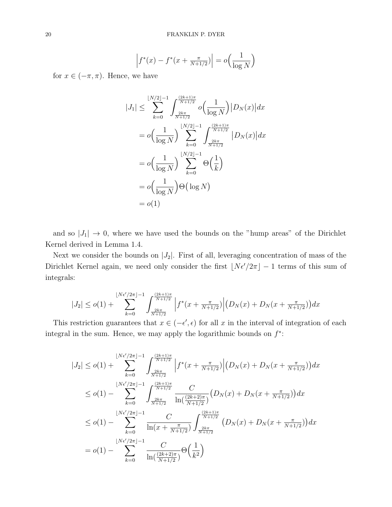$$
\left| f^*(x) - f^*(x + \frac{\pi}{N+1/2}) \right| = o\left(\frac{1}{\log N}\right)
$$

for  $x \in (-\pi, \pi)$ . Hence, we have

$$
|J_{1}| \leq \sum_{k=0}^{\lfloor N/2 \rfloor - 1} \int_{\frac{2k\pi}{N+1/2}}^{\frac{(2k+1)\pi}{N+1/2}} o\left(\frac{1}{\log N}\right) |D_{N}(x)| dx
$$
  
=  $o\left(\frac{1}{\log N}\right) \sum_{k=0}^{\lfloor N/2 \rfloor - 1} \int_{\frac{2k\pi}{N+1/2}}^{\frac{(2k+1)\pi}{N+1/2}} |D_{N}(x)| dx$   
=  $o\left(\frac{1}{\log N}\right) \sum_{k=0}^{\lfloor N/2 \rfloor - 1} \Theta\left(\frac{1}{k}\right)$   
=  $o\left(\frac{1}{\log N}\right) \Theta\left(\log N\right)$   
=  $o(1)$ 

and so  $|J_1| \rightarrow 0$ , where we have used the bounds on the "hump areas" of the Dirichlet Kernel derived in Lemma 1.4.

Next we consider the bounds on  $|J_2|$ . First of all, leveraging concentration of mass of the Dirichlet Kernel again, we need only consider the first  $\lfloor N \epsilon'/2\pi \rfloor - 1$  terms of this sum of integrals:

$$
|J_2| \le o(1) + \sum_{k=0}^{\lfloor N\epsilon'/2\pi \rfloor -1} \int_{\frac{2k\pi}{N+1/2}}^{\frac{(2k+1)\pi}{N+1/2}} \left| f^*(x + \frac{\pi}{N+1/2}) \right| \left(D_N(x) + D_N(x + \frac{\pi}{N+1/2})\right) dx
$$

This restriction guarantees that  $x \in (-\epsilon', \epsilon)$  for all x in the interval of integration of each integral in the sum. Hence, we may apply the logarithmic bounds on  $f^*$ :

$$
|J_2| \le o(1) + \sum_{k=0}^{\lfloor N\epsilon'/2\pi \rfloor - 1} \int_{\frac{2k\pi}{N+1/2}}^{\frac{(2k+1)\pi}{N+1/2}} \left| f^*(x + \frac{\pi}{N+1/2}) \right| \left( D_N(x) + D_N(x + \frac{\pi}{N+1/2}) \right) dx
$$
  
\n
$$
\le o(1) - \sum_{k=0}^{\lfloor N\epsilon'/2\pi \rfloor - 1} \int_{\frac{2k\pi}{N+1/2}}^{\frac{(2k+1)\pi}{N+1/2}} \frac{C}{\ln(\frac{(2k+2)\pi}{N+1/2})} \left( D_N(x) + D_N(x + \frac{\pi}{N+1/2}) \right) dx
$$
  
\n
$$
\le o(1) - \sum_{k=0}^{\lfloor N\epsilon'/2\pi \rfloor - 1} \frac{C}{\ln(x + \frac{\pi}{N+1/2})} \int_{\frac{2k\pi}{N+1/2}}^{\frac{(2k+1)\pi}{N+1/2}} \left( D_N(x) + D_N(x + \frac{\pi}{N+1/2}) \right) dx
$$
  
\n
$$
= o(1) - \sum_{k=0}^{\lfloor N\epsilon'/2\pi \rfloor - 1} \frac{C}{\ln(\frac{(2k+2)\pi}{N+1/2})} \Theta(\frac{1}{k^2})
$$